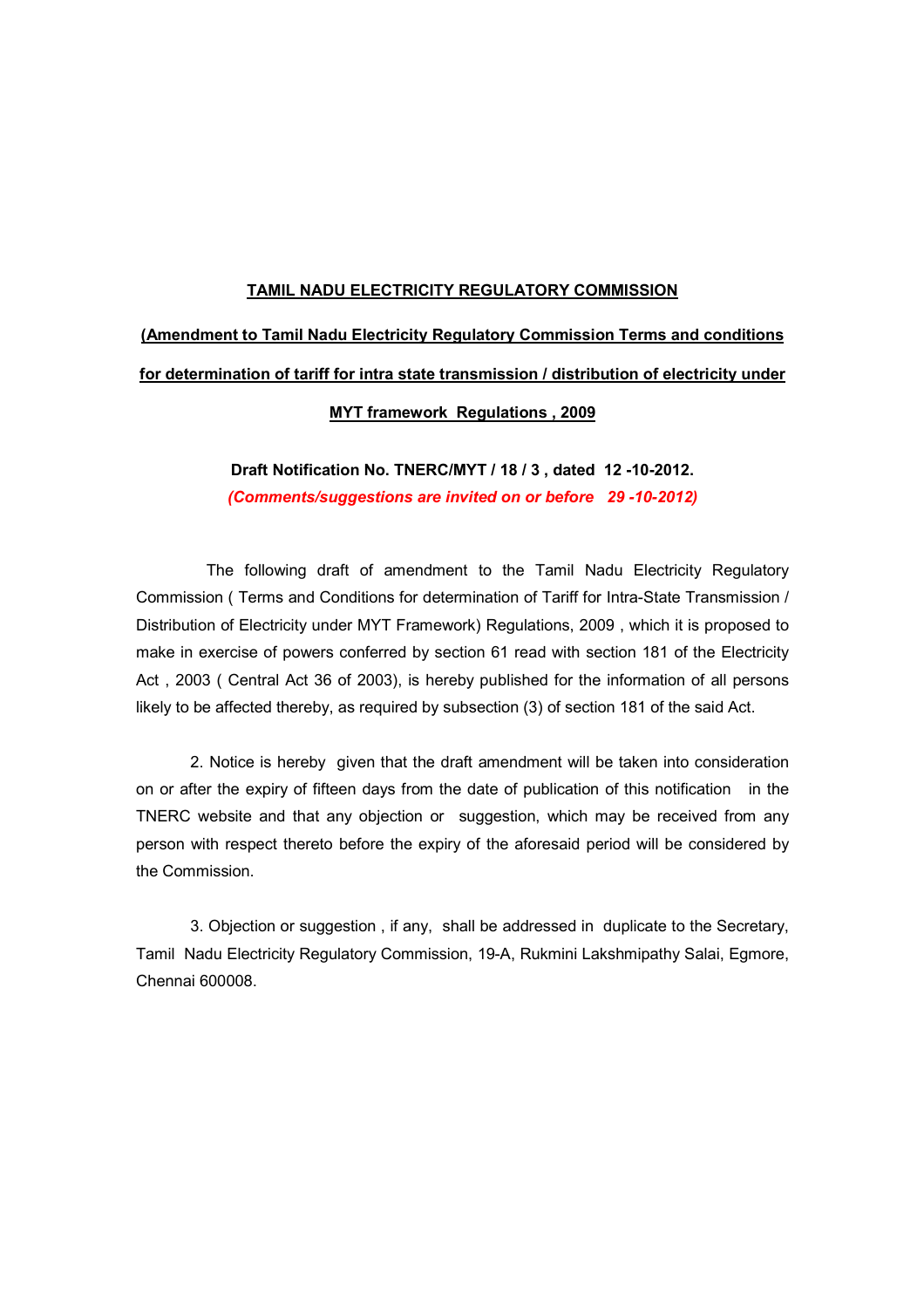#### TAMIL NADU ELECTRICITY REGULATORY COMMISSION

# (Amendment to Tamil Nadu Electricity Regulatory Commission Terms and conditions for determination of tariff for intra state transmission / distribution of electricity under

### MYT framework Regulations , 2009

## Draft Notification No. TNERC/MYT / 18 / 3 , dated 12 -10-2012. (Comments/suggestions are invited on or before 29 -10-2012)

 The following draft of amendment to the Tamil Nadu Electricity Regulatory Commission ( Terms and Conditions for determination of Tariff for Intra-State Transmission / Distribution of Electricity under MYT Framework) Regulations, 2009 , which it is proposed to make in exercise of powers conferred by section 61 read with section 181 of the Electricity Act , 2003 ( Central Act 36 of 2003), is hereby published for the information of all persons likely to be affected thereby, as required by subsection (3) of section 181 of the said Act.

 2. Notice is hereby given that the draft amendment will be taken into consideration on or after the expiry of fifteen days from the date of publication of this notification in the TNERC website and that any objection or suggestion, which may be received from any person with respect thereto before the expiry of the aforesaid period will be considered by the Commission.

3. Objection or suggestion , if any, shall be addressed in duplicate to the Secretary, Tamil Nadu Electricity Regulatory Commission, 19-A, Rukmini Lakshmipathy Salai, Egmore, Chennai 600008.